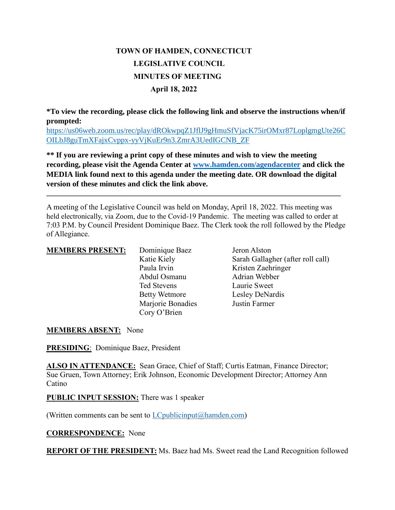# **TOWN OF HAMDEN, CONNECTICUT LEGISLATIVE COUNCIL MINUTES OF MEETING April 18, 2022**

**\*To view the recording, please click the following link and observe the instructions when/if prompted:**

[https://us06web.zoom.us/rec/play/dROkwpqZ1JflJ9gHmuSfVjacK75irOMxr87LoplgmgUte26C](https://us06web.zoom.us/rec/play/dROkwpqZ1JflJ9gHmuSfVjacK75irOMxr87LoplgmgUte26COILbJ8guTmXFajxCvppx-yyVjKuEr9n3.ZmrA3UedIGCNB_ZF) [OILbJ8guTmXFajxCvppx-yyVjKuEr9n3.ZmrA3UedIGCNB\\_ZF](https://us06web.zoom.us/rec/play/dROkwpqZ1JflJ9gHmuSfVjacK75irOMxr87LoplgmgUte26COILbJ8guTmXFajxCvppx-yyVjKuEr9n3.ZmrA3UedIGCNB_ZF)

**\*\* If you are reviewing a print copy of these minutes and wish to view the meeting recording, please visit the Agenda Center at [www.hamden.com/agendacenter](http://www.hamden.com/agendacenter) and click the MEDIA link found next to this agenda under the meeting date. OR download the digital version of these minutes and click the link above.**

**\_\_\_\_\_\_\_\_\_\_\_\_\_\_\_\_\_\_\_\_\_\_\_\_\_\_\_\_\_\_\_\_\_\_\_\_\_\_\_\_\_\_\_\_\_\_\_\_\_\_\_\_\_\_\_\_\_\_\_\_\_\_\_\_\_\_\_\_\_\_\_\_\_\_\_\_\_\_\_\_\_\_\_**

A meeting of the Legislative Council was held on Monday, April 18, 2022. This meeting was held electronically, via Zoom, due to the Covid-19 Pandemic. The meeting was called to order at 7:03 P.M. by Council President Dominique Baez. The Clerk took the roll followed by the Pledge of Allegiance.

| <b>MEMBERS PRESENT:</b> |  |
|-------------------------|--|
|                         |  |

**MEMBERS** Dominique Baez Jeron Alston Abdul Osmanu Adrian Webber Ted Stevens Laurie Sweet Betty Wetmore Lesley DeNardis Marjorie Bonadies Justin Farmer Cory O'Brien

Katie Kiely Sarah Gallagher (after roll call) Paula Irvin Kristen Zaehringer

#### **MEMBERS ABSENT:** None

**PRESIDING**: Dominique Baez, President

**ALSO IN ATTENDANCE:** Sean Grace, Chief of Staff; Curtis Eatman, Finance Director; Sue Gruen, Town Attorney; Erik Johnson, Economic Development Director; Attorney Ann Catino

**PUBLIC INPUT SESSION:** There was 1 speaker

(Written comments can be sent to  $LC$  publicinput  $(a)$  hamden.com)

**CORRESPONDENCE:** None

**REPORT OF THE PRESIDENT:** Ms. Baez had Ms. Sweet read the Land Recognition followed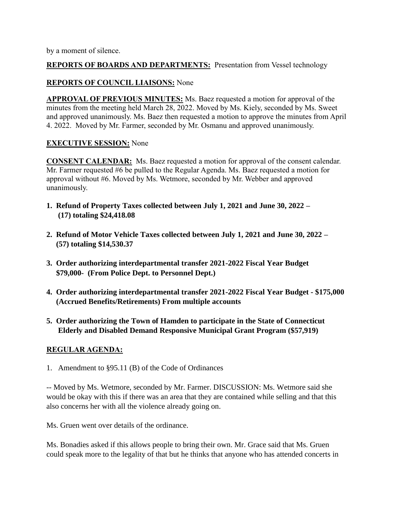by a moment of silence.

## **REPORTS OF BOARDS AND DEPARTMENTS:** Presentation from Vessel technology

# **REPORTS OF COUNCIL LIAISONS:** None

**APPROVAL OF PREVIOUS MINUTES:** Ms. Baez requested a motion for approval of the minutes from the meeting held March 28, 2022. Moved by Ms. Kiely, seconded by Ms. Sweet and approved unanimously. Ms. Baez then requested a motion to approve the minutes from April 4. 2022. Moved by Mr. Farmer, seconded by Mr. Osmanu and approved unanimously.

## **EXECUTIVE SESSION:** None

**CONSENT CALENDAR:** Ms. Baez requested a motion for approval of the consent calendar. Mr. Farmer requested #6 be pulled to the Regular Agenda. Ms. Baez requested a motion for approval without #6. Moved by Ms. Wetmore, seconded by Mr. Webber and approved unanimously.

- **1. Refund of Property Taxes collected between July 1, 2021 and June 30, 2022 – (17) totaling \$24,418.08**
- **2. Refund of Motor Vehicle Taxes collected between July 1, 2021 and June 30, 2022 – (57) totaling \$14,530.37**
- **3. Order authorizing interdepartmental transfer 2021-2022 Fiscal Year Budget \$79,000- (From Police Dept. to Personnel Dept.)**
- **4. Order authorizing interdepartmental transfer 2021-2022 Fiscal Year Budget - \$175,000 (Accrued Benefits/Retirements) From multiple accounts**
- **5. Order authorizing the Town of Hamden to participate in the State of Connecticut Elderly and Disabled Demand Responsive Municipal Grant Program (\$57,919)**

#### **REGULAR AGENDA:**

1. Amendment to §95.11 (B) of the Code of Ordinances

-- Moved by Ms. Wetmore, seconded by Mr. Farmer. DISCUSSION: Ms. Wetmore said she would be okay with this if there was an area that they are contained while selling and that this also concerns her with all the violence already going on.

Ms. Gruen went over details of the ordinance.

Ms. Bonadies asked if this allows people to bring their own. Mr. Grace said that Ms. Gruen could speak more to the legality of that but he thinks that anyone who has attended concerts in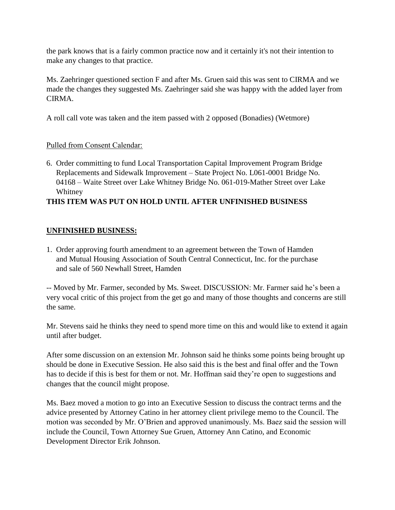the park knows that is a fairly common practice now and it certainly it's not their intention to make any changes to that practice.

Ms. Zaehringer questioned section F and after Ms. Gruen said this was sent to CIRMA and we made the changes they suggested Ms. Zaehringer said she was happy with the added layer from CIRMA.

A roll call vote was taken and the item passed with 2 opposed (Bonadies) (Wetmore)

## Pulled from Consent Calendar:

6. Order committing to fund Local Transportation Capital Improvement Program Bridge Replacements and Sidewalk Improvement – State Project No. L061-0001 Bridge No. 04168 – Waite Street over Lake Whitney Bridge No. 061-019-Mather Street over Lake Whitney

# **THIS ITEM WAS PUT ON HOLD UNTIL AFTER UNFINISHED BUSINESS**

#### **UNFINISHED BUSINESS:**

1. Order approving fourth amendment to an agreement between the Town of Hamden and Mutual Housing Association of South Central Connecticut, Inc. for the purchase and sale of 560 Newhall Street, Hamden

-- Moved by Mr. Farmer, seconded by Ms. Sweet. DISCUSSION: Mr. Farmer said he's been a very vocal critic of this project from the get go and many of those thoughts and concerns are still the same.

Mr. Stevens said he thinks they need to spend more time on this and would like to extend it again until after budget.

After some discussion on an extension Mr. Johnson said he thinks some points being brought up should be done in Executive Session. He also said this is the best and final offer and the Town has to decide if this is best for them or not. Mr. Hoffman said they're open to suggestions and changes that the council might propose.

Ms. Baez moved a motion to go into an Executive Session to discuss the contract terms and the advice presented by Attorney Catino in her attorney client privilege memo to the Council. The motion was seconded by Mr. O'Brien and approved unanimously. Ms. Baez said the session will include the Council, Town Attorney Sue Gruen, Attorney Ann Catino, and Economic Development Director Erik Johnson.